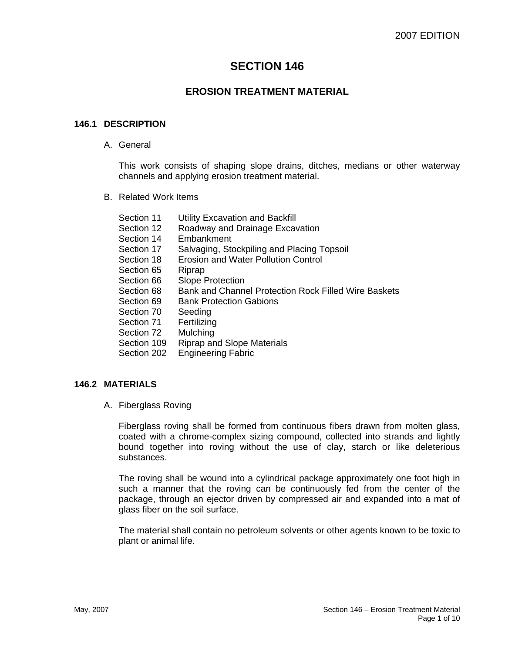# **SECTION 146**

# **EROSION TREATMENT MATERIAL**

### **146.1 DESCRIPTION**

A. General

This work consists of shaping slope drains, ditches, medians or other waterway channels and applying erosion treatment material.

B. Related Work Items

| Section 11              | <b>Utility Excavation and Backfill</b>               |
|-------------------------|------------------------------------------------------|
| Section 12              | Roadway and Drainage Excavation                      |
| Section 14              | Embankment                                           |
| Section 17              | Salvaging, Stockpiling and Placing Topsoil           |
| Section 18              | <b>Erosion and Water Pollution Control</b>           |
| Section 65              | Riprap                                               |
| Section 66              | <b>Slope Protection</b>                              |
| Section 68              | Bank and Channel Protection Rock Filled Wire Baskets |
| Section 69              | <b>Bank Protection Gabions</b>                       |
| Section 70              | Seeding                                              |
| Section 71              | Fertilizing                                          |
| Section 72              | Mulching                                             |
| Section 109             | <b>Riprap and Slope Materials</b>                    |
| <u>n - -: - - - nnn</u> | المتمطور المستمد والمتحارب                           |

Section 202 Engineering Fabric

## **146.2 MATERIALS**

A. Fiberglass Roving

Fiberglass roving shall be formed from continuous fibers drawn from molten glass, coated with a chrome-complex sizing compound, collected into strands and lightly bound together into roving without the use of clay, starch or like deleterious substances.

The roving shall be wound into a cylindrical package approximately one foot high in such a manner that the roving can be continuously fed from the center of the package, through an ejector driven by compressed air and expanded into a mat of glass fiber on the soil surface.

The material shall contain no petroleum solvents or other agents known to be toxic to plant or animal life.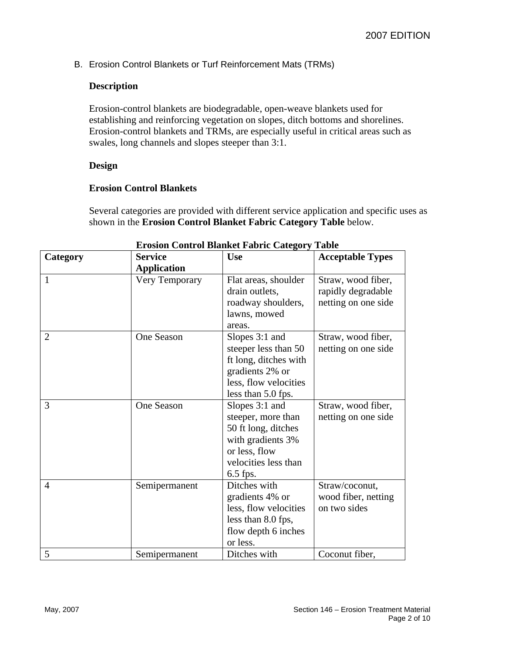B. Erosion Control Blankets or Turf Reinforcement Mats (TRMs)

## **Description**

Erosion-control blankets are biodegradable, open-weave blankets used for establishing and reinforcing vegetation on slopes, ditch bottoms and shorelines. Erosion-control blankets and TRMs, are especially useful in critical areas such as swales, long channels and slopes steeper than 3:1.

## **Design**

## **Erosion Control Blankets**

Several categories are provided with different service application and specific uses as shown in the **Erosion Control Blanket Fabric Category Table** below.

| Erosion Control Blanket Fabric Category Table |                    |                       |                         |
|-----------------------------------------------|--------------------|-----------------------|-------------------------|
| Category                                      | <b>Service</b>     | <b>Use</b>            | <b>Acceptable Types</b> |
|                                               | <b>Application</b> |                       |                         |
| 1                                             | Very Temporary     | Flat areas, shoulder  | Straw, wood fiber,      |
|                                               |                    | drain outlets,        | rapidly degradable      |
|                                               |                    | roadway shoulders,    | netting on one side     |
|                                               |                    | lawns, mowed          |                         |
|                                               |                    | areas.                |                         |
| $\overline{2}$                                | <b>One Season</b>  | Slopes 3:1 and        | Straw, wood fiber,      |
|                                               |                    | steeper less than 50  | netting on one side     |
|                                               |                    | ft long, ditches with |                         |
|                                               |                    | gradients 2% or       |                         |
|                                               |                    | less, flow velocities |                         |
|                                               |                    | less than 5.0 fps.    |                         |
| 3                                             | One Season         | Slopes 3:1 and        | Straw, wood fiber,      |
|                                               |                    | steeper, more than    | netting on one side     |
|                                               |                    | 50 ft long, ditches   |                         |
|                                               |                    | with gradients 3%     |                         |
|                                               |                    | or less, flow         |                         |
|                                               |                    | velocities less than  |                         |
|                                               |                    | $6.5$ fps.            |                         |
| $\overline{4}$                                | Semipermanent      | Ditches with          | Straw/coconut,          |
|                                               |                    | gradients 4% or       | wood fiber, netting     |
|                                               |                    | less, flow velocities | on two sides            |
|                                               |                    | less than 8.0 fps,    |                         |
|                                               |                    | flow depth 6 inches   |                         |
|                                               |                    | or less.              |                         |
| 5                                             | Semipermanent      | Ditches with          | Coconut fiber,          |

# **Erosion Control Blanket Fabric Category Table**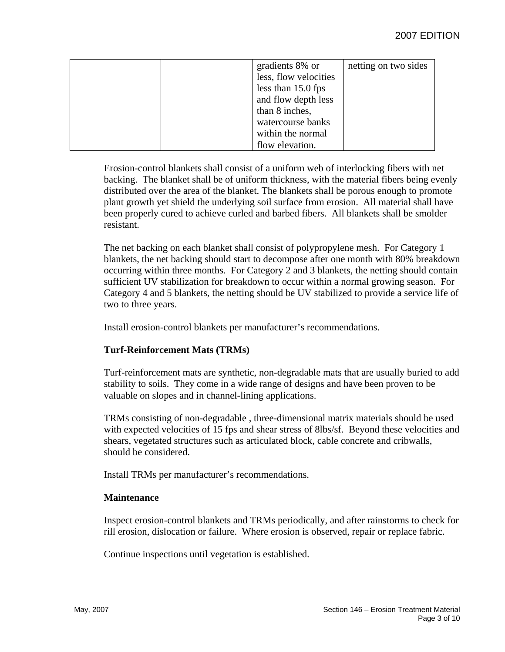|  | gradients 8% or       | netting on two sides |
|--|-----------------------|----------------------|
|  | less, flow velocities |                      |
|  | less than 15.0 fps    |                      |
|  | and flow depth less   |                      |
|  | than 8 inches,        |                      |
|  | watercourse banks     |                      |
|  | within the normal     |                      |
|  | flow elevation.       |                      |

Erosion-control blankets shall consist of a uniform web of interlocking fibers with net backing. The blanket shall be of uniform thickness, with the material fibers being evenly distributed over the area of the blanket. The blankets shall be porous enough to promote plant growth yet shield the underlying soil surface from erosion. All material shall have been properly cured to achieve curled and barbed fibers. All blankets shall be smolder resistant.

The net backing on each blanket shall consist of polypropylene mesh. For Category 1 blankets, the net backing should start to decompose after one month with 80% breakdown occurring within three months. For Category 2 and 3 blankets, the netting should contain sufficient UV stabilization for breakdown to occur within a normal growing season. For Category 4 and 5 blankets, the netting should be UV stabilized to provide a service life of two to three years.

Install erosion-control blankets per manufacturer's recommendations.

## **Turf-Reinforcement Mats (TRMs)**

Turf-reinforcement mats are synthetic, non-degradable mats that are usually buried to add stability to soils. They come in a wide range of designs and have been proven to be valuable on slopes and in channel-lining applications.

TRMs consisting of non-degradable , three-dimensional matrix materials should be used with expected velocities of 15 fps and shear stress of 8lbs/sf. Beyond these velocities and shears, vegetated structures such as articulated block, cable concrete and cribwalls, should be considered.

Install TRMs per manufacturer's recommendations.

## **Maintenance**

Inspect erosion-control blankets and TRMs periodically, and after rainstorms to check for rill erosion, dislocation or failure. Where erosion is observed, repair or replace fabric.

Continue inspections until vegetation is established.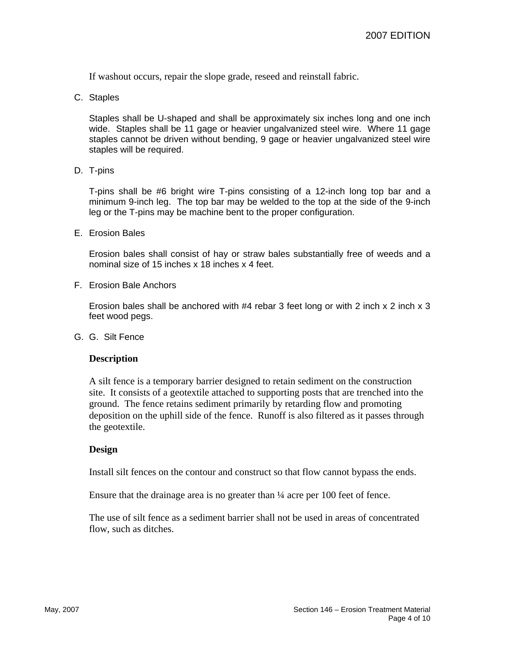If washout occurs, repair the slope grade, reseed and reinstall fabric.

C. Staples

Staples shall be U-shaped and shall be approximately six inches long and one inch wide. Staples shall be 11 gage or heavier ungalvanized steel wire. Where 11 gage staples cannot be driven without bending, 9 gage or heavier ungalvanized steel wire staples will be required.

D. T-pins

T-pins shall be #6 bright wire T-pins consisting of a 12-inch long top bar and a minimum 9-inch leg. The top bar may be welded to the top at the side of the 9-inch leg or the T-pins may be machine bent to the proper configuration.

E. Erosion Bales

Erosion bales shall consist of hay or straw bales substantially free of weeds and a nominal size of 15 inches x 18 inches x 4 feet.

F. Erosion Bale Anchors

Erosion bales shall be anchored with #4 rebar 3 feet long or with 2 inch x 2 inch x 3 feet wood pegs.

G. G. Silt Fence

#### **Description**

A silt fence is a temporary barrier designed to retain sediment on the construction site. It consists of a geotextile attached to supporting posts that are trenched into the ground. The fence retains sediment primarily by retarding flow and promoting deposition on the uphill side of the fence. Runoff is also filtered as it passes through the geotextile.

#### **Design**

Install silt fences on the contour and construct so that flow cannot bypass the ends.

Ensure that the drainage area is no greater than ¼ acre per 100 feet of fence.

The use of silt fence as a sediment barrier shall not be used in areas of concentrated flow, such as ditches.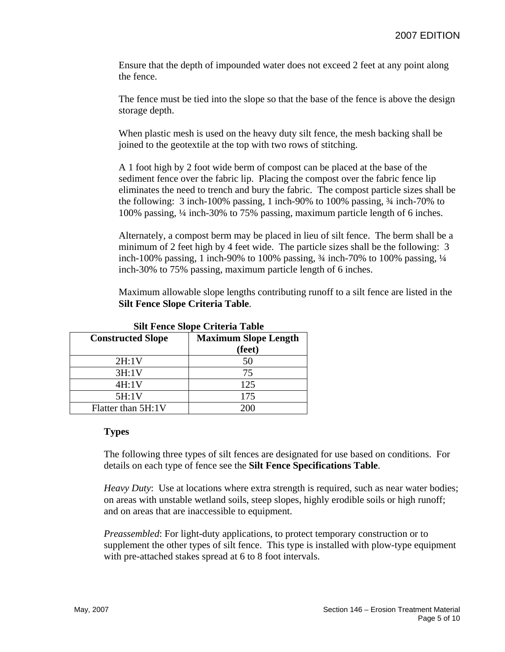Ensure that the depth of impounded water does not exceed 2 feet at any point along the fence.

The fence must be tied into the slope so that the base of the fence is above the design storage depth.

When plastic mesh is used on the heavy duty silt fence, the mesh backing shall be joined to the geotextile at the top with two rows of stitching.

A 1 foot high by 2 foot wide berm of compost can be placed at the base of the sediment fence over the fabric lip. Placing the compost over the fabric fence lip eliminates the need to trench and bury the fabric. The compost particle sizes shall be the following: 3 inch-100% passing, 1 inch-90% to 100% passing, ¾ inch-70% to 100% passing, ¼ inch-30% to 75% passing, maximum particle length of 6 inches.

Alternately, a compost berm may be placed in lieu of silt fence. The berm shall be a minimum of 2 feet high by 4 feet wide. The particle sizes shall be the following: 3 inch-100% passing, 1 inch-90% to 100% passing, ¾ inch-70% to 100% passing, ¼ inch-30% to 75% passing, maximum particle length of 6 inches.

Maximum allowable slope lengths contributing runoff to a silt fence are listed in the **Silt Fence Slope Criteria Table**.

| bin Fence blope Criteria Table |                             |  |
|--------------------------------|-----------------------------|--|
| <b>Constructed Slope</b>       | <b>Maximum Slope Length</b> |  |
|                                | (feet)                      |  |
| 2H:1V                          | 50                          |  |
| 3H:1V                          | 75                          |  |
| 4H:1V                          | 125                         |  |
| 5H:1V                          | 175                         |  |
| Flatter than 5H:1V             | 200                         |  |

**Silt Fence Slope Criteria Table** 

## **Types**

The following three types of silt fences are designated for use based on conditions. For details on each type of fence see the **Silt Fence Specifications Table**.

*Heavy Duty*: Use at locations where extra strength is required, such as near water bodies; on areas with unstable wetland soils, steep slopes, highly erodible soils or high runoff; and on areas that are inaccessible to equipment.

*Preassembled*: For light-duty applications, to protect temporary construction or to supplement the other types of silt fence. This type is installed with plow-type equipment with pre-attached stakes spread at 6 to 8 foot intervals.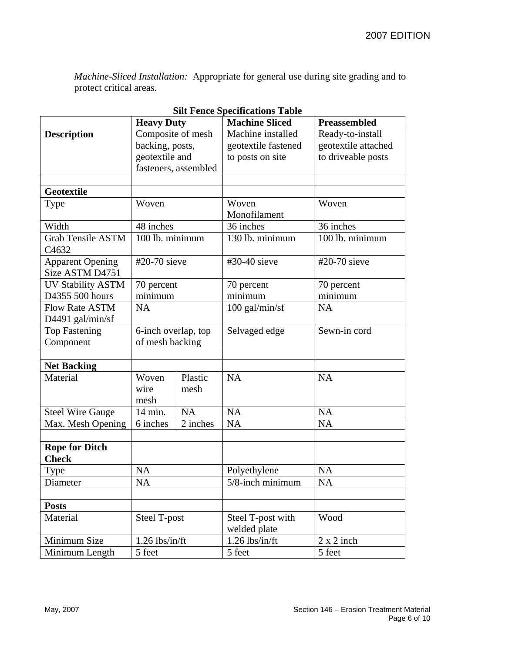*Machine-Sliced Installation:* Appropriate for general use during site grading and to protect critical areas.

| <b>Heavy Duty</b>                             |                                                                                | <b>Machine Sliced</b> | <b>Preassembled</b>                                          |                                                               |
|-----------------------------------------------|--------------------------------------------------------------------------------|-----------------------|--------------------------------------------------------------|---------------------------------------------------------------|
| <b>Description</b>                            | Composite of mesh<br>backing, posts,<br>geotextile and<br>fasteners, assembled |                       | Machine installed<br>geotextile fastened<br>to posts on site | Ready-to-install<br>geotextile attached<br>to driveable posts |
| <b>Geotextile</b>                             |                                                                                |                       |                                                              |                                                               |
| Type                                          | Woven                                                                          |                       | Woven<br>Monofilament                                        | Woven                                                         |
| Width                                         | 48 inches                                                                      |                       | 36 inches                                                    | 36 inches                                                     |
| <b>Grab Tensile ASTM</b><br>C <sub>4632</sub> | 100 lb. minimum                                                                |                       | 130 lb. minimum                                              | 100 lb. minimum                                               |
| <b>Apparent Opening</b><br>Size ASTM D4751    | #20-70 sieve                                                                   |                       | #30-40 sieve                                                 | #20-70 sieve                                                  |
| <b>UV Stability ASTM</b>                      | 70 percent                                                                     |                       | 70 percent                                                   | 70 percent                                                    |
| D4355 500 hours                               | minimum                                                                        |                       | minimum                                                      | minimum                                                       |
| <b>Flow Rate ASTM</b><br>D4491 gal/min/sf     | <b>NA</b>                                                                      |                       | $100$ gal/min/sf                                             | <b>NA</b>                                                     |
| <b>Top Fastening</b>                          | 6-inch overlap, top                                                            |                       | Selvaged edge                                                | Sewn-in cord                                                  |
| Component                                     | of mesh backing                                                                |                       |                                                              |                                                               |
|                                               |                                                                                |                       |                                                              |                                                               |
| <b>Net Backing</b>                            |                                                                                |                       |                                                              |                                                               |
| Material                                      | Woven<br>wire<br>mesh                                                          | Plastic<br>mesh       | <b>NA</b>                                                    | <b>NA</b>                                                     |
| <b>Steel Wire Gauge</b>                       | 14 min.                                                                        | <b>NA</b>             | <b>NA</b>                                                    | <b>NA</b>                                                     |
| Max. Mesh Opening                             | 6 inches                                                                       | 2 inches              | <b>NA</b>                                                    | <b>NA</b>                                                     |
|                                               |                                                                                |                       |                                                              |                                                               |
| <b>Rope for Ditch</b><br><b>Check</b>         |                                                                                |                       |                                                              |                                                               |
| Type                                          | <b>NA</b>                                                                      |                       | Polyethylene                                                 | <b>NA</b>                                                     |
| Diameter                                      | <b>NA</b>                                                                      |                       | 5/8-inch minimum                                             | NA                                                            |
|                                               |                                                                                |                       |                                                              |                                                               |
| <b>Posts</b>                                  |                                                                                |                       |                                                              |                                                               |
| Material                                      | Steel T-post                                                                   |                       | Steel T-post with<br>welded plate                            | Wood                                                          |
| Minimum Size                                  | $1.26$ lbs/in/ft                                                               |                       | $1.26$ lbs/in/ft                                             | $2 \times 2$ inch                                             |
| Minimum Length                                | 5 feet                                                                         |                       | 5 feet                                                       | 5 feet                                                        |

# **Silt Fence Specifications Table**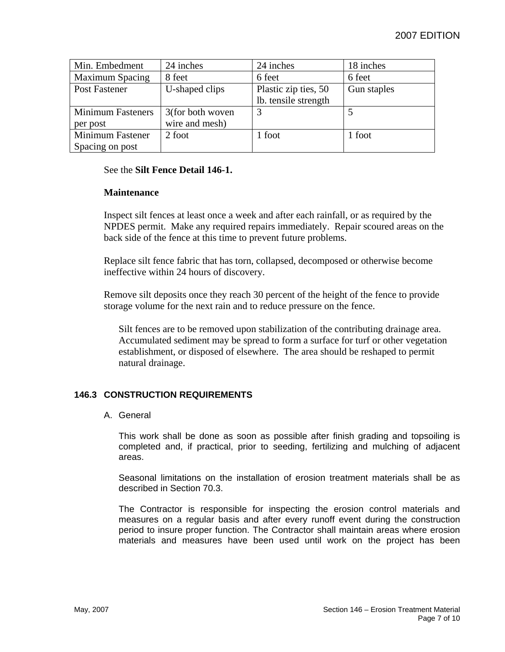| Min. Embedment           | 24 inches        | 24 inches            | 18 inches   |
|--------------------------|------------------|----------------------|-------------|
| <b>Maximum Spacing</b>   | 8 feet           | 6 feet               | 6 feet      |
| Post Fastener            | U-shaped clips   | Plastic zip ties, 50 | Gun staples |
|                          |                  | lb. tensile strength |             |
| <b>Minimum Fasteners</b> | 3(for both woven | 3                    |             |
| per post                 | wire and mesh)   |                      |             |
| Minimum Fastener         | 2 foot           | 1 foot               | 1 foot      |
| Spacing on post          |                  |                      |             |

## See the **Silt Fence Detail 146-1.**

#### **Maintenance**

Inspect silt fences at least once a week and after each rainfall, or as required by the NPDES permit. Make any required repairs immediately. Repair scoured areas on the back side of the fence at this time to prevent future problems.

Replace silt fence fabric that has torn, collapsed, decomposed or otherwise become ineffective within 24 hours of discovery.

Remove silt deposits once they reach 30 percent of the height of the fence to provide storage volume for the next rain and to reduce pressure on the fence.

Silt fences are to be removed upon stabilization of the contributing drainage area. Accumulated sediment may be spread to form a surface for turf or other vegetation establishment, or disposed of elsewhere. The area should be reshaped to permit natural drainage.

## **146.3 CONSTRUCTION REQUIREMENTS**

#### A. General

This work shall be done as soon as possible after finish grading and topsoiling is completed and, if practical, prior to seeding, fertilizing and mulching of adjacent areas.

Seasonal limitations on the installation of erosion treatment materials shall be as described in Section 70.3.

The Contractor is responsible for inspecting the erosion control materials and measures on a regular basis and after every runoff event during the construction period to insure proper function. The Contractor shall maintain areas where erosion materials and measures have been used until work on the project has been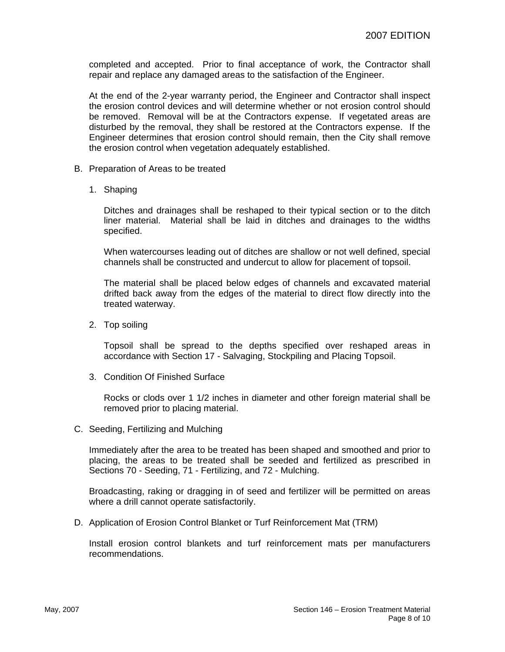completed and accepted. Prior to final acceptance of work, the Contractor shall repair and replace any damaged areas to the satisfaction of the Engineer.

At the end of the 2-year warranty period, the Engineer and Contractor shall inspect the erosion control devices and will determine whether or not erosion control should be removed. Removal will be at the Contractors expense. If vegetated areas are disturbed by the removal, they shall be restored at the Contractors expense. If the Engineer determines that erosion control should remain, then the City shall remove the erosion control when vegetation adequately established.

- B. Preparation of Areas to be treated
	- 1. Shaping

Ditches and drainages shall be reshaped to their typical section or to the ditch liner material. Material shall be laid in ditches and drainages to the widths specified.

When watercourses leading out of ditches are shallow or not well defined, special channels shall be constructed and undercut to allow for placement of topsoil.

The material shall be placed below edges of channels and excavated material drifted back away from the edges of the material to direct flow directly into the treated waterway.

2. Top soiling

Topsoil shall be spread to the depths specified over reshaped areas in accordance with Section 17 - Salvaging, Stockpiling and Placing Topsoil.

3. Condition Of Finished Surface

Rocks or clods over 1 1/2 inches in diameter and other foreign material shall be removed prior to placing material.

C. Seeding, Fertilizing and Mulching

Immediately after the area to be treated has been shaped and smoothed and prior to placing, the areas to be treated shall be seeded and fertilized as prescribed in Sections 70 - Seeding, 71 - Fertilizing, and 72 - Mulching.

Broadcasting, raking or dragging in of seed and fertilizer will be permitted on areas where a drill cannot operate satisfactorily.

D. Application of Erosion Control Blanket or Turf Reinforcement Mat (TRM)

Install erosion control blankets and turf reinforcement mats per manufacturers recommendations.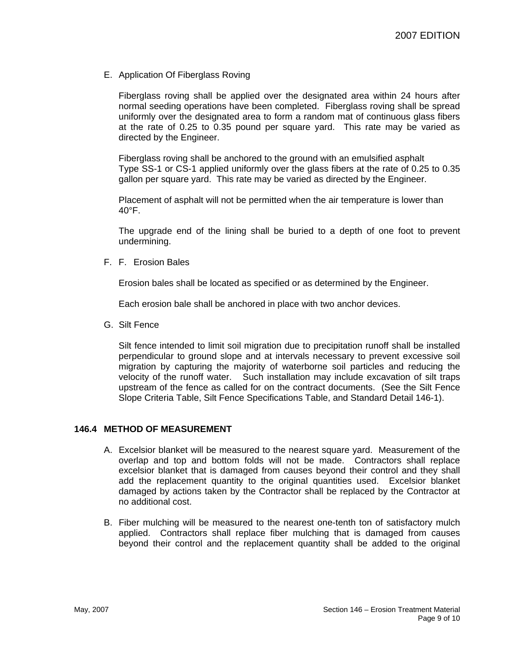E. Application Of Fiberglass Roving

Fiberglass roving shall be applied over the designated area within 24 hours after normal seeding operations have been completed. Fiberglass roving shall be spread uniformly over the designated area to form a random mat of continuous glass fibers at the rate of 0.25 to 0.35 pound per square yard. This rate may be varied as directed by the Engineer.

Fiberglass roving shall be anchored to the ground with an emulsified asphalt Type SS-1 or CS-1 applied uniformly over the glass fibers at the rate of 0.25 to 0.35 gallon per square yard. This rate may be varied as directed by the Engineer.

Placement of asphalt will not be permitted when the air temperature is lower than 40°F.

The upgrade end of the lining shall be buried to a depth of one foot to prevent undermining.

F. F. Erosion Bales

Erosion bales shall be located as specified or as determined by the Engineer.

Each erosion bale shall be anchored in place with two anchor devices.

G. Silt Fence

Silt fence intended to limit soil migration due to precipitation runoff shall be installed perpendicular to ground slope and at intervals necessary to prevent excessive soil migration by capturing the majority of waterborne soil particles and reducing the velocity of the runoff water. Such installation may include excavation of silt traps upstream of the fence as called for on the contract documents. (See the Silt Fence Slope Criteria Table, Silt Fence Specifications Table, and Standard Detail 146-1).

#### **146.4 METHOD OF MEASUREMENT**

- A. Excelsior blanket will be measured to the nearest square yard. Measurement of the overlap and top and bottom folds will not be made. Contractors shall replace excelsior blanket that is damaged from causes beyond their control and they shall add the replacement quantity to the original quantities used. Excelsior blanket damaged by actions taken by the Contractor shall be replaced by the Contractor at no additional cost.
- B. Fiber mulching will be measured to the nearest one-tenth ton of satisfactory mulch applied. Contractors shall replace fiber mulching that is damaged from causes beyond their control and the replacement quantity shall be added to the original